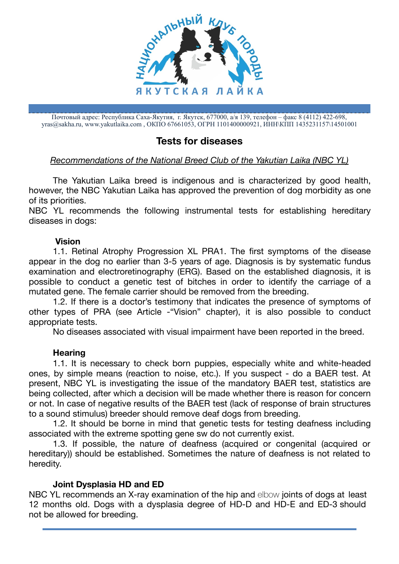

Почтовый адрес: Республика Саха-Якутия, г. Якутск, 677000, а/я 139, телефон – факс 8 (4112) 422-698, [yras@sakha.ru](mailto:yras@sakha.ru), www.yakutlaika.com , ОКПО 67661053, ОГРН 1101400000921, ИНН\КПП 1435231157\14501001

# **Tests for diseases**

## *Recommendations of the National Breed Club of the Yakutian Laika (NBC YL)*

The Yakutian Laika breed is indigenous and is characterized by good health, however, the NBC Yakutian Laika has approved the prevention of dog morbidity as one of its priorities.

NBC YL recommends the following instrumental tests for establishing hereditary diseases in dogs:

### **Vision**

1.1. Retinal Atrophy Progression XL PRA1. The first symptoms of the disease appear in the dog no earlier than 3-5 years of age. Diagnosis is by systematic fundus examination and electroretinography (ERG). Based on the established diagnosis, it is possible to conduct a genetic test of bitches in order to identify the carriage of a mutated gene. The female carrier should be removed from the breeding.

1.2. If there is a doctor's testimony that indicates the presence of symptoms of other types of PRA (see Article -"Vision" chapter), it is also possible to conduct appropriate tests.

No diseases associated with visual impairment have been reported in the breed.

### **Hearing**

1.1. It is necessary to check born puppies, especially white and white-headed ones, by simple means (reaction to noise, etc.). If you suspect - do a BAER test. At present, NBC YL is investigating the issue of the mandatory BAER test, statistics are being collected, after which a decision will be made whether there is reason for concern or not. In case of negative results of the BAER test (lack of response of brain structures to a sound stimulus) breeder should remove deaf dogs from breeding.

1.2. It should be borne in mind that genetic tests for testing deafness including associated with the extreme spotting gene sw do not currently exist.

1.3. If possible, the nature of deafness (acquired or congenital (acquired or hereditary)) should be established. Sometimes the nature of deafness is not related to heredity.

### **Joint Dysplasia HD and ED**

NBC YL recommends an X-ray examination of the hip and elbow joints of dogs at least 12 months old. Dogs with a dysplasia degree of HD-D and HD-E and ED-3 should not be allowed for breeding.